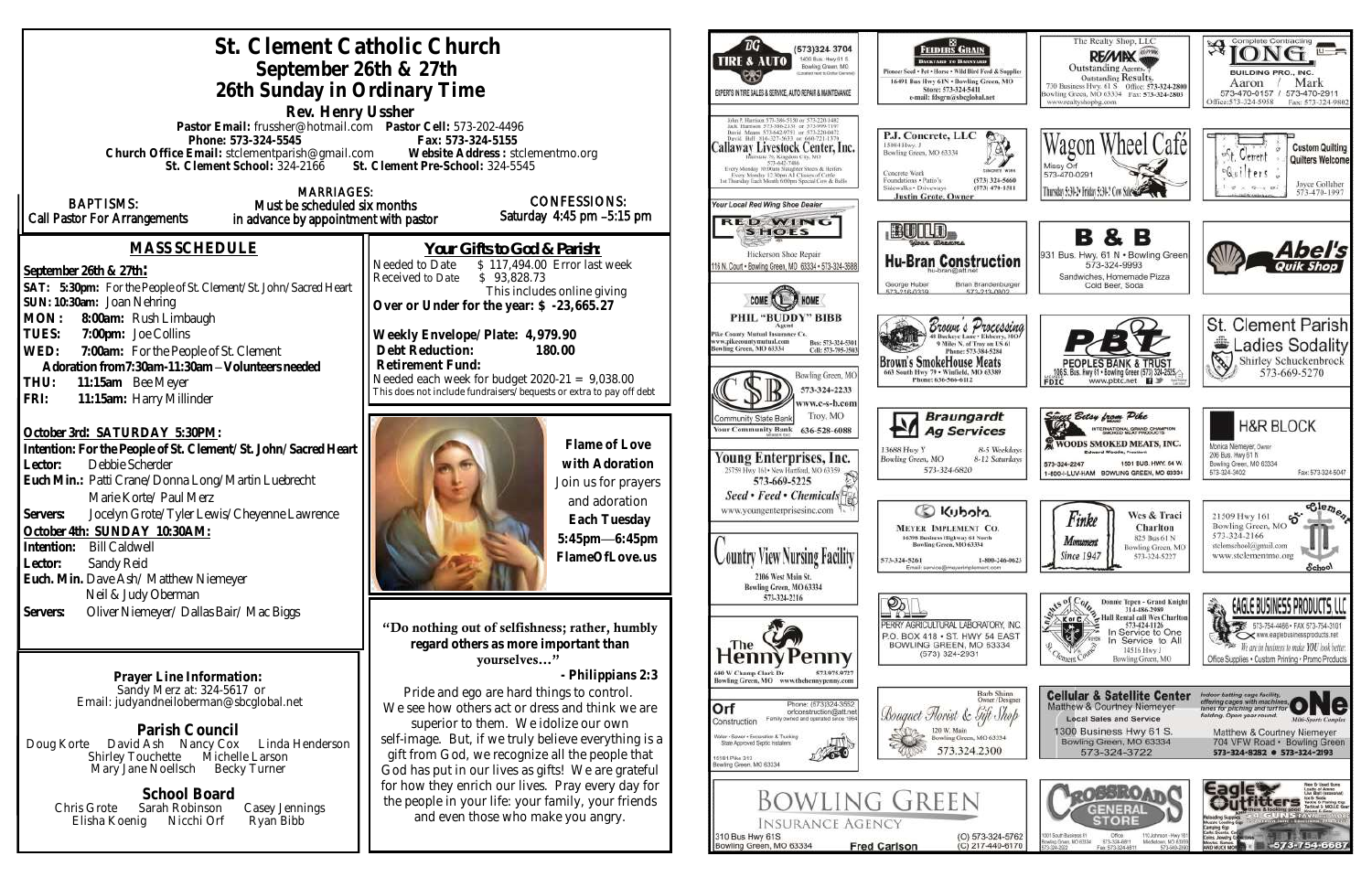